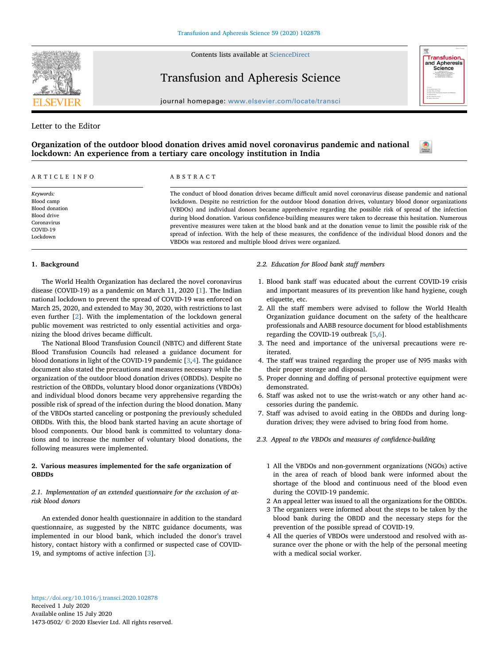

Contents lists available at [ScienceDirect](http://www.sciencedirect.com/science/journal/14730502)

# Transfusion and Apheresis Science

journal homepage: [www.elsevier.com/locate/transci](https://www.elsevier.com/locate/transci)

## Letter to the Editor

# **Organization of the outdoor blood donation drives amid novel coronavirus pandemic and national lockdown: An experience from a tertiary care oncology institution in India**



**Transfusion** and Apheresis<br>Science

| ARTICLE INFO   | ABSTRACT                                                                                                     |
|----------------|--------------------------------------------------------------------------------------------------------------|
| Keywords:      | The conduct of blood donation drives became difficult amid novel coronavirus disease pandemic and national   |
| Blood camp     | lockdown. Despite no restriction for the outdoor blood donation drives, voluntary blood donor organizations  |
| Blood donation | (VBDOs) and individual donors became apprehensive regarding the possible risk of spread of the infection     |
| Blood drive    | during blood donation. Various confidence-building measures were taken to decrease this hesitation. Numerous |
| Coronavirus    | preventive measures were taken at the blood bank and at the donation venue to limit the possible risk of the |
| COVID-19       | spread of infection. With the help of these measures, the confidence of the individual blood donors and the  |
| Lockdown       | VBDOs was restored and multiple blood drives were organized.                                                 |

#### **1. Background**

The World Health Organization has declared the novel coronavirus disease (COVID-19) as a pandemic on March 11, 2020 [\[1\]](#page-2-0). The Indian national lockdown to prevent the spread of COVID-19 was enforced on March 25, 2020, and extended to May 30, 2020, with restrictions to last even further [[2](#page-2-1)]. With the implementation of the lockdown general public movement was restricted to only essential activities and organizing the blood drives became difficult.

The National Blood Transfusion Council (NBTC) and different State Blood Transfusion Councils had released a guidance document for blood donations in light of the COVID-19 pandemic [[3](#page-2-2),[4](#page-2-3)]. The guidance document also stated the precautions and measures necessary while the organization of the outdoor blood donation drives (OBDDs). Despite no restriction of the OBDDs, voluntary blood donor organizations (VBDOs) and individual blood donors became very apprehensive regarding the possible risk of spread of the infection during the blood donation. Many of the VBDOs started canceling or postponing the previously scheduled OBDDs. With this, the blood bank started having an acute shortage of blood components. Our blood bank is committed to voluntary donations and to increase the number of voluntary blood donations, the following measures were implemented.

## **2. Various measures implemented for the safe organization of OBDDs**

## *2.1. Implementation of an extended questionnaire for the exclusion of atrisk blood donors*

An extended donor health questionnaire in addition to the standard questionnaire, as suggested by the NBTC guidance documents, was implemented in our blood bank, which included the donor's travel history, contact history with a confirmed or suspected case of COVID-19, and symptoms of active infection [[3](#page-2-2)].

#### *2.2. Education for Blood bank staff members*

- 1. Blood bank staff was educated about the current COVID-19 crisis and important measures of its prevention like hand hygiene, cough etiquette, etc.
- 2. All the staff members were advised to follow the World Health Organization guidance document on the safety of the healthcare professionals and AABB resource document for blood establishments regarding the COVID-19 outbreak [[5](#page-2-4)[,6\]](#page-2-5).
- 3. The need and importance of the universal precautions were reiterated.
- 4. The staff was trained regarding the proper use of N95 masks with their proper storage and disposal.
- 5. Proper donning and doffing of personal protective equipment were demonstrated.
- 6. Staff was asked not to use the wrist-watch or any other hand accessories during the pandemic.
- 7. Staff was advised to avoid eating in the OBDDs and during longduration drives; they were advised to bring food from home.
- *2.3. Appeal to the VBDOs and measures of confidence-building*
	- 1 All the VBDOs and non-government organizations (NGOs) active in the area of reach of blood bank were informed about the shortage of the blood and continuous need of the blood even during the COVID-19 pandemic.
	- 2 An appeal letter was issued to all the organizations for the OBDDs.
	- 3 The organizers were informed about the steps to be taken by the blood bank during the OBDD and the necessary steps for the prevention of the possible spread of COVID-19.
	- 4 All the queries of VBDOs were understood and resolved with assurance over the phone or with the help of the personal meeting with a medical social worker.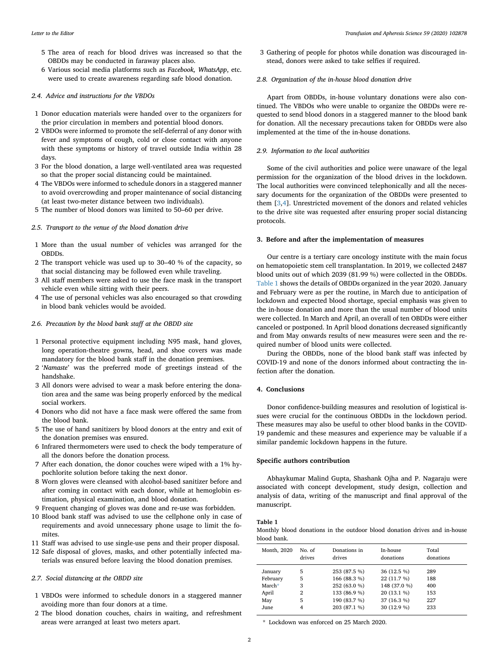- 5 The area of reach for blood drives was increased so that the OBDDs may be conducted in faraway places also.
- 6 Various social media platforms such as *Facebook, WhatsApp*, etc. were used to create awareness regarding safe blood donation.

## *2.4. Advice and instructions for the VBDOs*

- 1 Donor education materials were handed over to the organizers for the prior circulation in members and potential blood donors.
- 2 VBDOs were informed to promote the self-deferral of any donor with fever and symptoms of cough, cold or close contact with anyone with these symptoms or history of travel outside India within 28 days.
- 3 For the blood donation, a large well-ventilated area was requested so that the proper social distancing could be maintained.
- 4 The VBDOs were informed to schedule donors in a staggered manner to avoid overcrowding and proper maintenance of social distancing (at least two-meter distance between two individuals).
- 5 The number of blood donors was limited to 50–60 per drive.

#### *2.5. Transport to the venue of the blood donation drive*

- 1 More than the usual number of vehicles was arranged for the OBDDs.
- 2 The transport vehicle was used up to 30–40 % of the capacity, so that social distancing may be followed even while traveling.
- 3 All staff members were asked to use the face mask in the transport vehicle even while sitting with their peers.
- 4 The use of personal vehicles was also encouraged so that crowding in blood bank vehicles would be avoided.

## *2.6. Precaution by the blood bank staff at the OBDD site*

- 1 Personal protective equipment including N95 mask, hand gloves, long operation-theatre gowns, head, and shoe covers was made mandatory for the blood bank staff in the donation premises.
- 2 '*Namaste*' was the preferred mode of greetings instead of the handshake.
- 3 All donors were advised to wear a mask before entering the donation area and the same was being properly enforced by the medical social workers.
- 4 Donors who did not have a face mask were offered the same from the blood bank.
- 5 The use of hand sanitizers by blood donors at the entry and exit of the donation premises was ensured.
- 6 Infrared thermometers were used to check the body temperature of all the donors before the donation process.
- 7 After each donation, the donor couches were wiped with a 1% hypochlorite solution before taking the next donor.
- 8 Worn gloves were cleansed with alcohol-based sanitizer before and after coming in contact with each donor, while at hemoglobin estimation, physical examination, and blood donation.
- 9 Frequent changing of gloves was done and re-use was forbidden.
- 10 Blood bank staff was advised to use the cellphone only in case of requirements and avoid unnecessary phone usage to limit the fomites.
- 11 Staff was advised to use single-use pens and their proper disposal.
- 12 Safe disposal of gloves, masks, and other potentially infected materials was ensured before leaving the blood donation premises.
- *2.7. Social distancing at the OBDD site*
- 1 VBDOs were informed to schedule donors in a staggered manner avoiding more than four donors at a time.
- 2 The blood donation couches, chairs in waiting, and refreshment areas were arranged at least two meters apart.

3 Gathering of people for photos while donation was discouraged instead, donors were asked to take selfies if required.

#### *2.8. Organization of the in-house blood donation drive*

Apart from OBDDs, in-house voluntary donations were also continued. The VBDOs who were unable to organize the OBDDs were requested to send blood donors in a staggered manner to the blood bank for donation. All the necessary precautions taken for OBDDs were also implemented at the time of the in-house donations.

#### *2.9. Information to the local authorities*

Some of the civil authorities and police were unaware of the legal permission for the organization of the blood drives in the lockdown. The local authorities were convinced telephonically and all the necessary documents for the organization of the OBDDs were presented to them [[3](#page-2-2)[,4\]](#page-2-3). Unrestricted movement of the donors and related vehicles to the drive site was requested after ensuring proper social distancing protocols.

#### **3. Before and after the implementation of measures**

Our centre is a tertiary care oncology institute with the main focus on hematopoietic stem cell transplantation. In 2019, we collected 2487 blood units out of which 2039 (81.99 %) were collected in the OBDDs. [Table 1](#page-1-0) shows the details of OBDDs organized in the year 2020. January and February were as per the routine, in March due to anticipation of lockdown and expected blood shortage, special emphasis was given to the in-house donation and more than the usual number of blood units were collected. In March and April, an overall of ten OBDDs were either canceled or postponed. In April blood donations decreased significantly and from May onwards results of new measures were seen and the required number of blood units were collected.

During the OBDDs, none of the blood bank staff was infected by COVID-19 and none of the donors informed about contracting the infection after the donation.

#### **4. Conclusions**

Donor confidence-building measures and resolution of logistical issues were crucial for the continuous OBDDs in the lockdown period. These measures may also be useful to other blood banks in the COVID-19 pandemic and these measures and experience may be valuable if a similar pandemic lockdown happens in the future.

## **Specific authors contribution**

Abhaykumar Malind Gupta, Shashank Ojha and P. Nagaraju were associated with concept development, study design, collection and analysis of data, writing of the manuscript and final approval of the manuscript.

### <span id="page-1-0"></span>**Table 1**

Monthly blood donations in the outdoor blood donation drives and in-house blood bank.

| Month, 2020 | No. of<br>drives | Donations in<br>drives | In-house<br>donations | Total<br>donations |
|-------------|------------------|------------------------|-----------------------|--------------------|
| January     | 5                | 253 (87.5 %)           | 36 (12.5 %)           | 289                |
| February    | 5                | 166 (88.3 %)           | 22 (11.7 %)           | 188                |
| March*      | 3                | 252 (63.0 %)           | 148 (37.0 %)          | 400                |
| April       | 2                | 133 (86.9 %)           | 20 (13.1 %)           | 153                |
| May         | 5                | 190 (83.7 %)           | 37 (16.3 %)           | 227                |
| June        | 4                | 203 (87.1 %)           | 30 (12.9 %)           | 233                |

<span id="page-1-1"></span>\* Lockdown was enforced on 25 March 2020.